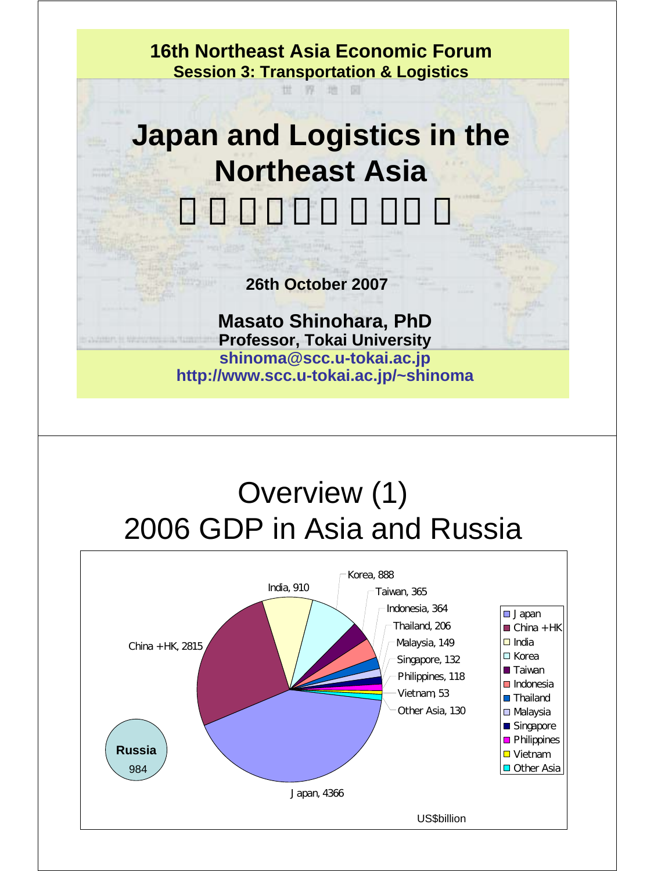**16th Northeast Asia Economic Forum Session 3: Transportation & Logistics**

世界地

## **Japan and Logistics in the Northeast Asia**

大東西大学 マジャン マンディー

**26th October 2007**

**Masato Shinohara, PhD Professor, Tokai University shinoma@scc.u-tokai.ac.jp http://www.scc.u-tokai.ac.jp/~shinoma**

### Overview (1) 2006 GDP in Asia and Russia

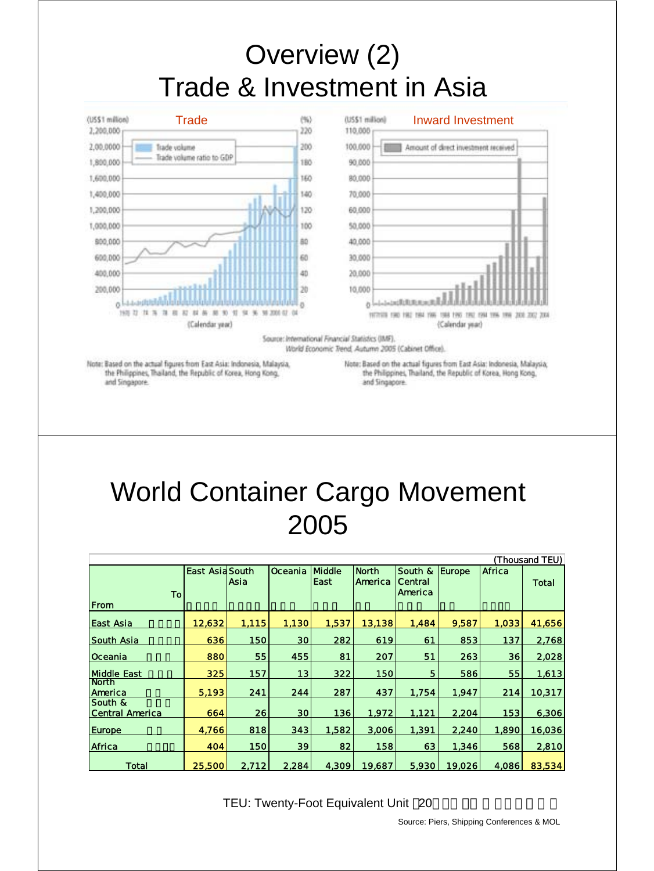### Overview (2) Trade & Investment in Asia



Note: Based on the actual figures from East Asia: Indonesia, Malaysia, the Philippines, Thailand, the Republic of Korea, Hong Kong, and Singapore.

Note: Based on the actual figures from East Asia: Indonesia, Malaysia, the Philippines, Thailand, the Republic of Korea, Hong Kong, and Singapore.

#### World Container Cargo Movement 2005

| (Thousand TEU)                    |                        |       |                 |                |                         |                               |               |        |        |
|-----------------------------------|------------------------|-------|-----------------|----------------|-------------------------|-------------------------------|---------------|--------|--------|
| To<br>From                        | <b>East Asia South</b> | Asia  | <b>Oceania</b>  | Middle<br>East | <b>North</b><br>America | South &<br>Central<br>America | <b>Europe</b> | Africa | Total  |
| East Asia                         | 12,632                 | 1,115 | 1,130           | 1,537          | 13,138                  | 1,484                         | 9,587         | 1,033  | 41,656 |
| South Asia                        | 636                    | 150   | 30              | 282            | 619                     | 61                            | 853           | 137    | 2,768  |
| Oceania                           | 880                    | 55    | 455             | 81             | 207                     | 51                            | 263           | 36     | 2,028  |
| <b>Middle East</b>                | 325                    | 157   | 13              | 322            | 150                     | 5                             | 586           | 55     | 1,613  |
| <b>North</b><br>America           | 5.193                  | 241   | 244             | 287            | 437                     | 1,754                         | 1,947         | 214    | 10,317 |
| South &<br><b>Central America</b> | 664                    | 26    | 30 <sub>l</sub> | 136            | 1,972                   | 1,121                         | 2,204         | 153    | 6,306  |
| <b>Europe</b>                     | 4.766                  | 818   | 343             | 1,582          | 3,006                   | 1,391                         | 2,240         | 1,890  | 16,036 |
| Africa                            | 404                    | 150   | 39              | 82             | 158                     | 63                            | 1,346         | 568    | 2,810  |
| Total                             | 25,500                 | 2,712 | 2,284           | 4.309          | 19,687                  | 5,930                         | 19,026        | 4,086  | 83,534 |

TEU: Twenty-Foot Equivalent Unit 20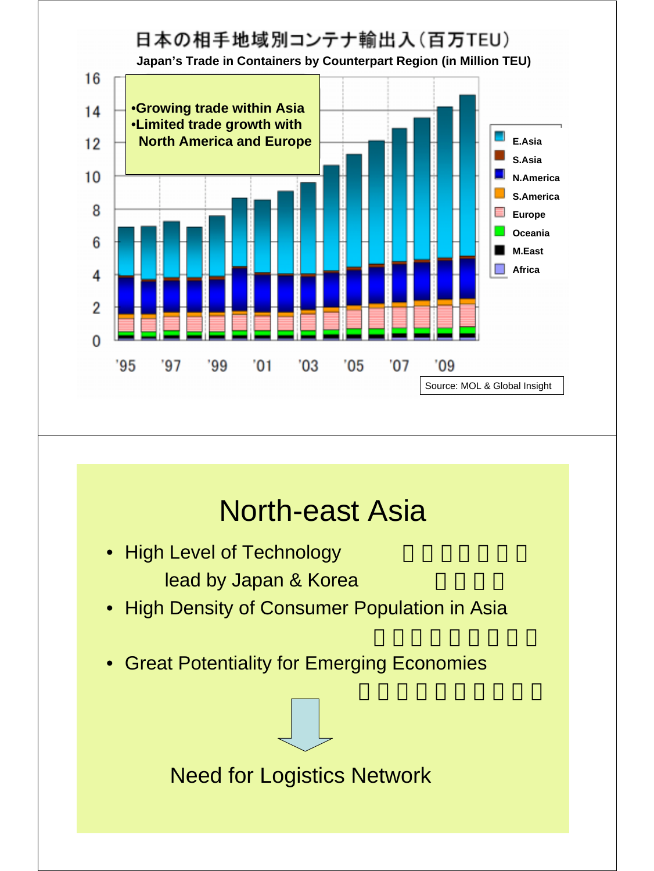

### North-east Asia

- High Level of Technology lead by Japan & Korea
- High Density of Consumer Population in Asia
- Great Potentiality for Emerging Economies

#### Need for Logistics Network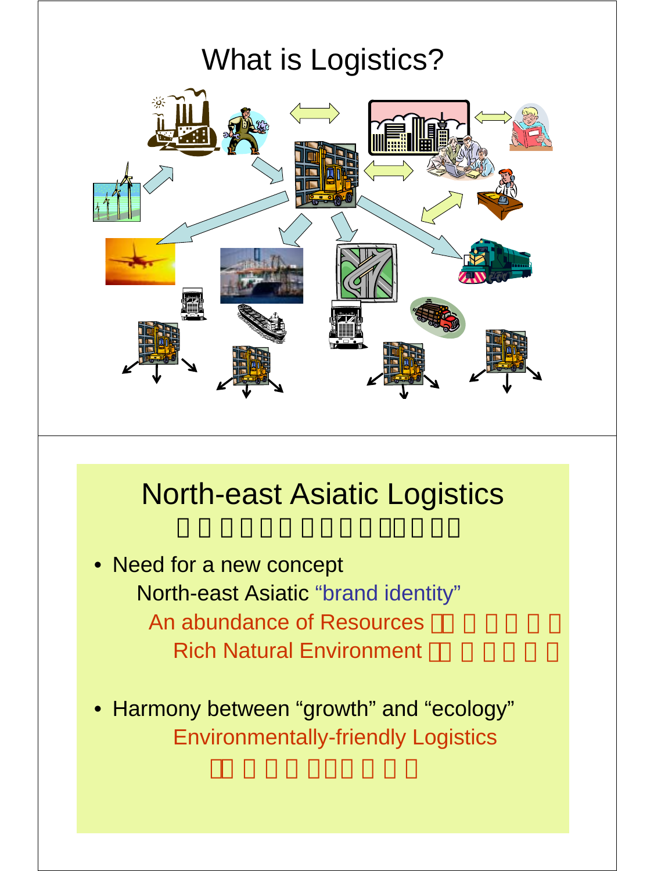# What is Logistics?



### North-east Asiatic Logistics

- Need for a new concept North-east Asiatic "brand identity" An abundance of Resources **Rich Natural Environment**
- Harmony between "growth" and "ecology" Environmentally-friendly Logistics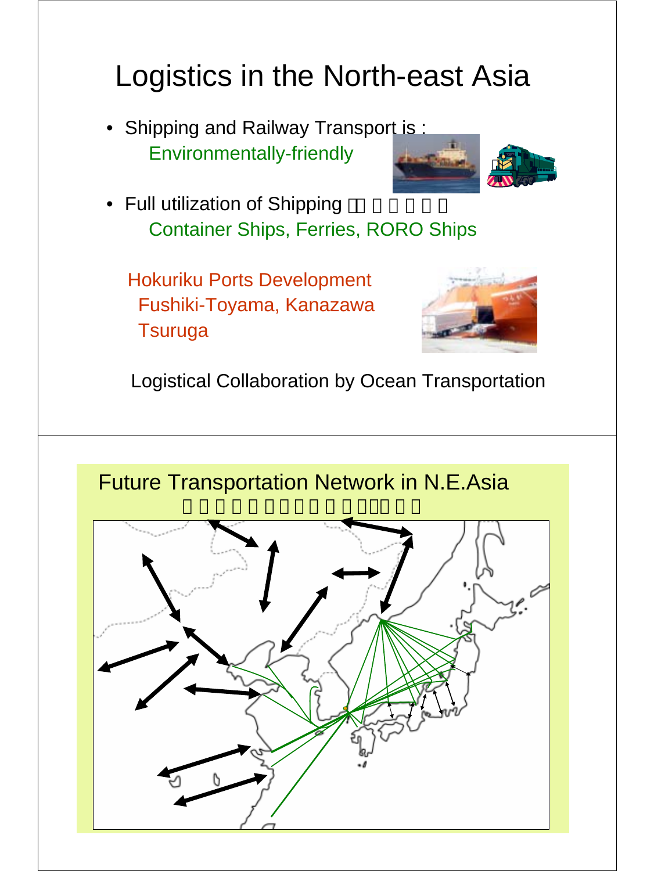# Logistics in the North-east Asia

• Shipping and Railway Transport is: Environmentally-friendly



• Full utilization of Shipping Container Ships, Ferries, RORO Ships

Hokuriku Ports Development Fushiki-Toyama, Kanazawa **Tsuruga** 



Logistical Collaboration by Ocean Transportation

Future Transportation Network in N.E.Asia

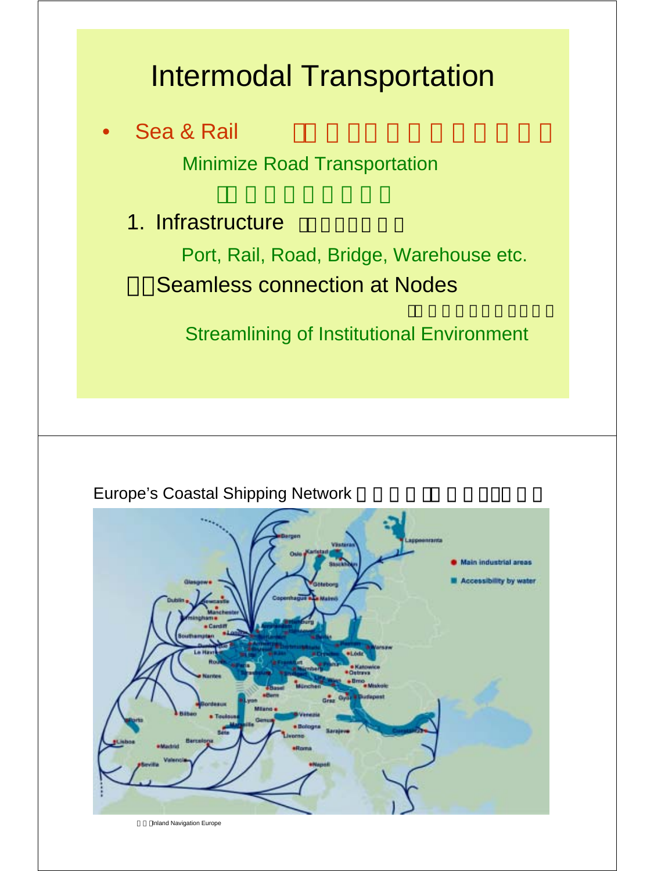## Intermodal Transportation

#### Sea & Rail

Minimize Road Transportation

#### 1. Infrastructure

Port, Rail, Road, Bridge, Warehouse etc. **Seamless connection at Nodes** 

Streamlining of Institutional Environment



**Europe's Coastal Shipping Network** 

Inland Navigation Europe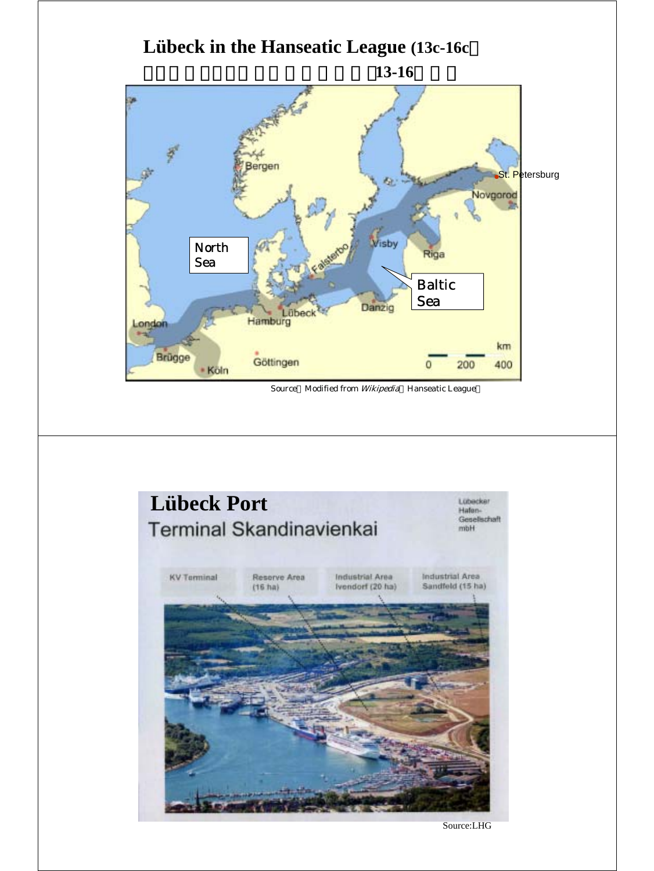



Source:LHG